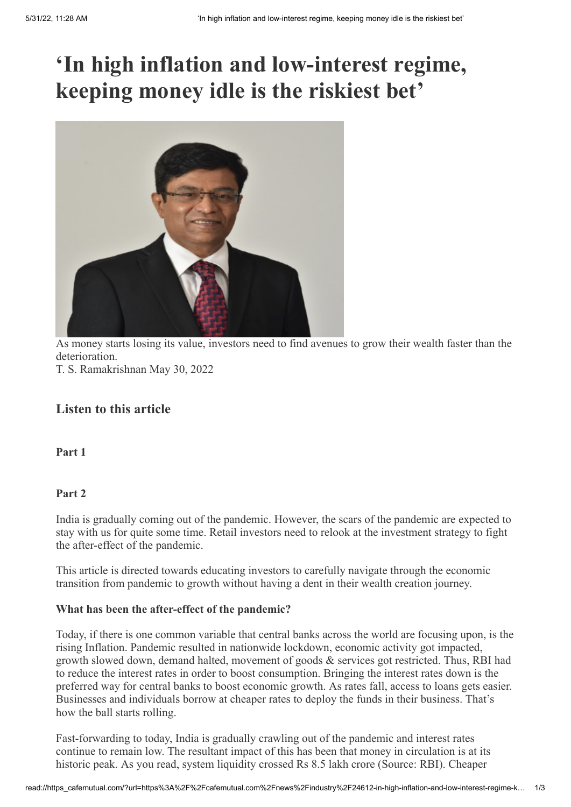# **'In high inflation and low-interest regime, keeping money idle is the riskiest bet'**



As money starts losing its value, investors need to find avenues to grow their wealth faster than the deterioration. T. S. Ramakrishnan May 30, 2022

# **Listen to this article**

**Part 1**

## **Part 2**

India is gradually coming out of the pandemic. However, the scars of the pandemic are expected to stay with us for quite some time. Retail investors need to relook at the investment strategy to fight the after-effect of the pandemic.

This article is directed towards educating investors to carefully navigate through the economic transition from pandemic to growth without having a dent in their wealth creation journey.

## **What has been the after-effect of the pandemic?**

Today, if there is one common variable that central banks across the world are focusing upon, is the rising Inflation. Pandemic resulted in nationwide lockdown, economic activity got impacted, growth slowed down, demand halted, movement of goods & services got restricted. Thus, RBI had to reduce the interest rates in order to boost consumption. Bringing the interest rates down is the preferred way for central banks to boost economic growth. As rates fall, access to loans gets easier. Businesses and individuals borrow at cheaper rates to deploy the funds in their business. That's how the ball starts rolling.

Fast-forwarding to today, India is gradually crawling out of the pandemic and interest rates continue to remain low. The resultant impact of this has been that money in circulation is at its historic peak. As you read, system liquidity crossed Rs 8.5 lakh crore (Source: RBI). Cheaper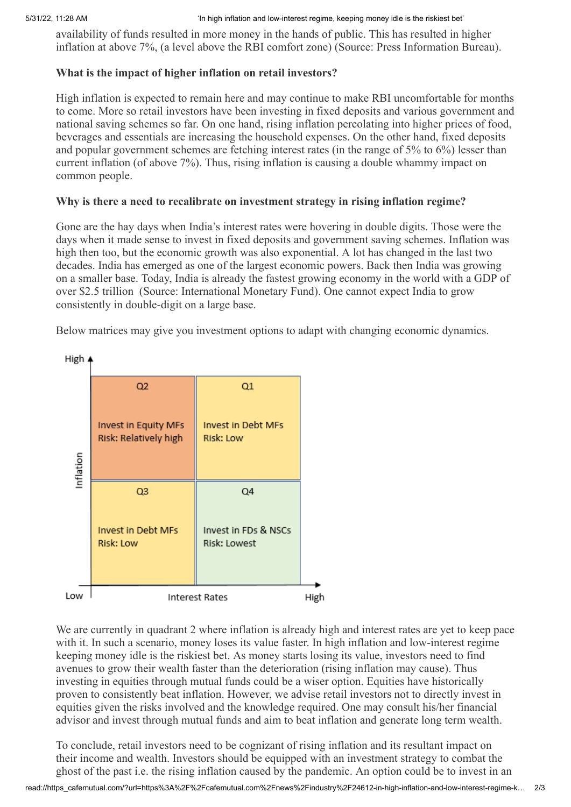availability of funds resulted in more money in the hands of public. This has resulted in higher inflation at above 7%, (a level above the RBI comfort zone) (Source: Press Information Bureau).

#### **What is the impact of higher inflation on retail investors?**

High inflation is expected to remain here and may continue to make RBI uncomfortable for months to come. More so retail investors have been investing in fixed deposits and various government and national saving schemes so far. On one hand, rising inflation percolating into higher prices of food, beverages and essentials are increasing the household expenses. On the other hand, fixed deposits and popular government schemes are fetching interest rates (in the range of 5% to 6%) lesser than current inflation (of above 7%). Thus, rising inflation is causing a double whammy impact on common people.

## **Why is there a need to recalibrate on investment strategy in rising inflation regime?**

Gone are the hay days when India's interest rates were hovering in double digits. Those were the days when it made sense to invest in fixed deposits and government saving schemes. Inflation was high then too, but the economic growth was also exponential. A lot has changed in the last two decades. India has emerged as one of the largest economic powers. Back then India was growing on a smaller base. Today, India is already the fastest growing economy in the world with a GDP of over \$2.5 trillion (Source: International Monetary Fund). One cannot expect India to grow consistently in double-digit on a large base.

Below matrices may give you investment options to adapt with changing economic dynamics.



We are currently in quadrant 2 where inflation is already high and interest rates are yet to keep pace with it. In such a scenario, money loses its value faster. In high inflation and low-interest regime keeping money idle is the riskiest bet. As money starts losing its value, investors need to find avenues to grow their wealth faster than the deterioration (rising inflation may cause). Thus investing in equities through mutual funds could be a wiser option. Equities have historically proven to consistently beat inflation. However, we advise retail investors not to directly invest in equities given the risks involved and the knowledge required. One may consult his/her financial advisor and invest through mutual funds and aim to beat inflation and generate long term wealth.

To conclude, retail investors need to be cognizant of rising inflation and its resultant impact on their income and wealth. Investors should be equipped with an investment strategy to combat the ghost of the past i.e. the rising inflation caused by the pandemic. An option could be to invest in an